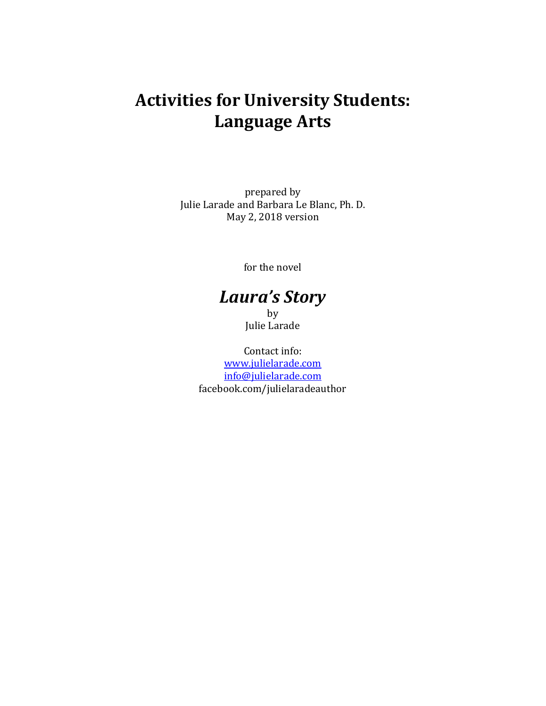# **Activities for University Students: Language Arts**

prepared by Julie Larade and Barbara Le Blanc, Ph. D. May 2, 2018 version

for the novel

# *Laura's Story*

by Julie Larade

Contact info: [www.julielarade.com](http://www.julielarade.com/) [info@julielarade.com](mailto:info@julielarade.com) facebook.com/julielaradeauthor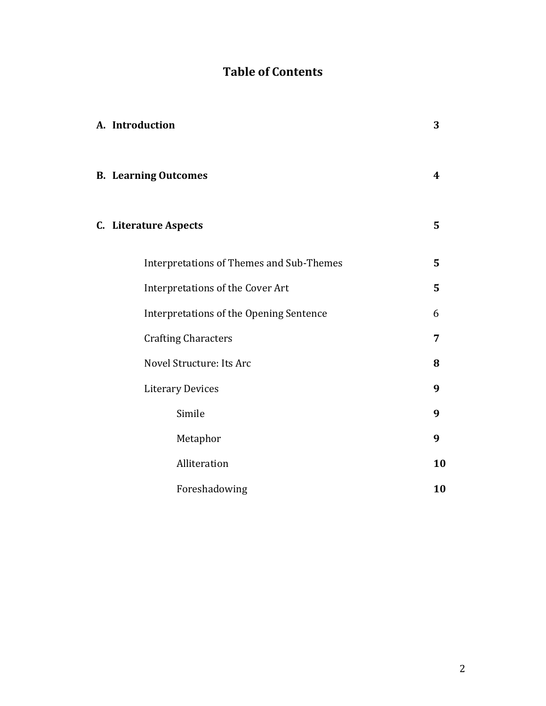# **Table of Contents**

| A. Introduction                          | 3              |
|------------------------------------------|----------------|
| <b>B.</b> Learning Outcomes              | 4              |
| <b>C.</b> Literature Aspects             | $5\phantom{1}$ |
| Interpretations of Themes and Sub-Themes | 5              |
| Interpretations of the Cover Art         | 5              |
| Interpretations of the Opening Sentence  | 6              |
| <b>Crafting Characters</b>               | 7              |
| Novel Structure: Its Arc                 | 8              |
| <b>Literary Devices</b>                  | 9              |
| Simile                                   | 9              |
| Metaphor                                 | 9              |
| Alliteration                             | 10             |
| Foreshadowing                            | 10             |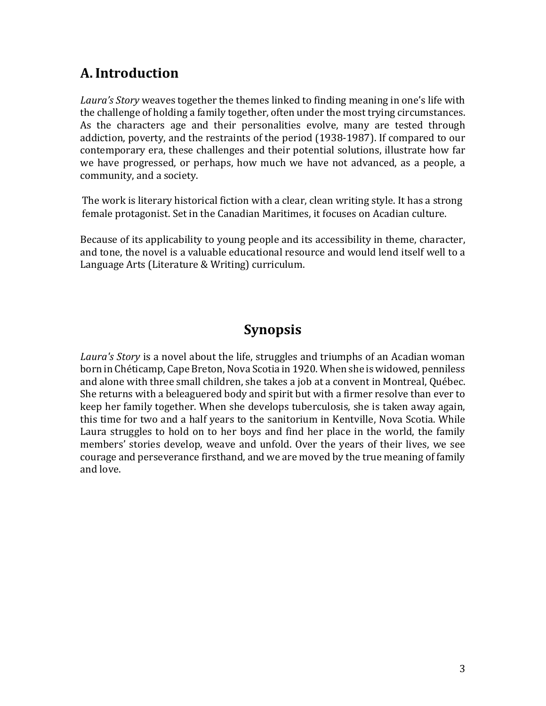# **A.Introduction**

*Laura's Story* weaves together the themes linked to finding meaning in one's life with the challenge of holding a family together, often under the most trying circumstances. As the characters age and their personalities evolve, many are tested through addiction, poverty, and the restraints of the period (1938-1987). If compared to our contemporary era, these challenges and their potential solutions, illustrate how far we have progressed, or perhaps, how much we have not advanced, as a people, a community, and a society.

The work is literary historical fiction with a clear, clean writing style. It has a strong female protagonist. Set in the Canadian Maritimes, it focuses on Acadian culture.

Because of its applicability to young people and its accessibility in theme, character, and tone, the novel is a valuable educational resource and would lend itself well to a Language Arts (Literature & Writing) curriculum.

# **Synopsis**

*Laura's Story* is a novel about the life, struggles and triumphs of an Acadian woman born in Chéticamp, Cape Breton, Nova Scotia in 1920. When she is widowed, penniless and alone with three small children, she takes a job at a convent in Montreal, Québec. She returns with a beleaguered body and spirit but with a firmer resolve than ever to keep her family together. When she develops tuberculosis, she is taken away again, this time for two and a half years to the sanitorium in Kentville, Nova Scotia. While Laura struggles to hold on to her boys and find her place in the world, the family members' stories develop, weave and unfold. Over the years of their lives, we see courage and perseverance firsthand, and we are moved by the true meaning of family and love.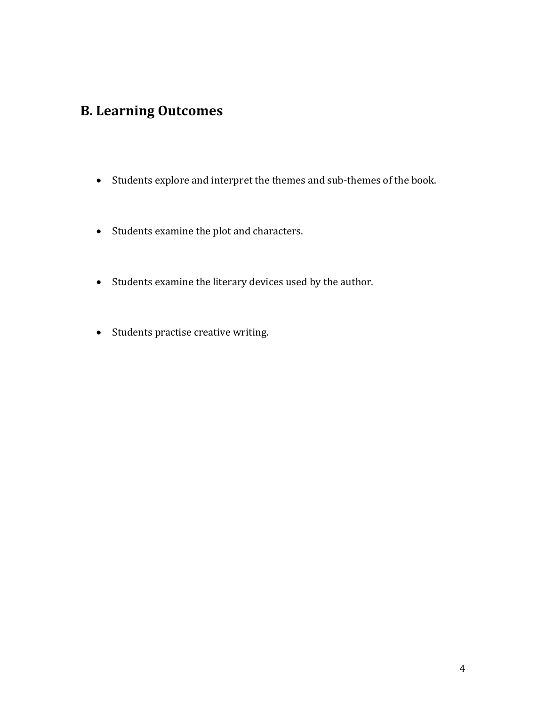# **B. Learning Outcomes**

- Students explore and interpret the themes and sub-themes of the book.
- Students examine the plot and characters.
- Students examine the literary devices used by the author.
- Students practise creative writing.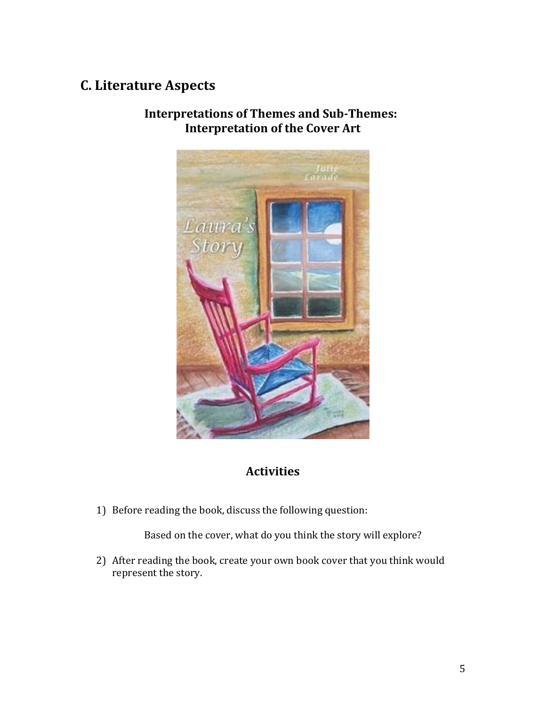# **C. Literature Aspects**



**Interpretations of Themes and Sub-Themes: Interpretation of the Cover Art**

#### **Activities**

1) Before reading the book, discuss the following question:

Based on the cover, what do you think the story will explore?

2) After reading the book, create your own book cover that you think would represent the story.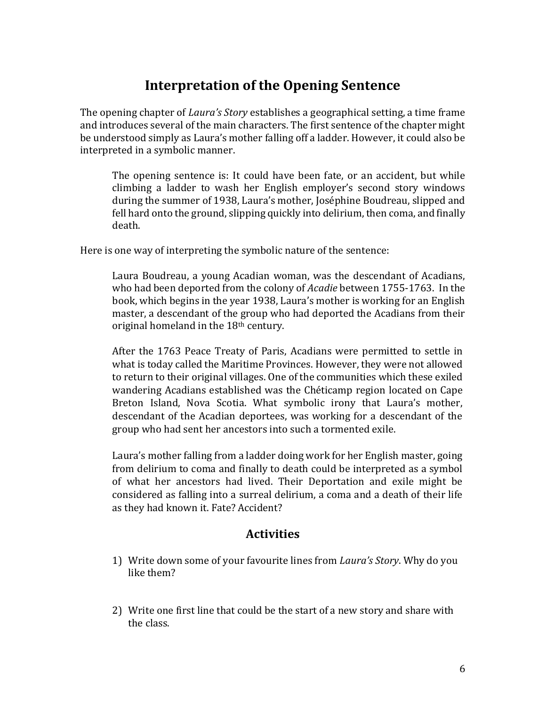## **Interpretation of the Opening Sentence**

The opening chapter of *Laura's Story* establishes a geographical setting, a time frame and introduces several of the main characters. The first sentence of the chapter might be understood simply as Laura's mother falling off a ladder. However, it could also be interpreted in a symbolic manner.

The opening sentence is: It could have been fate, or an accident, but while climbing a ladder to wash her English employer's second story windows during the summer of 1938, Laura's mother, Joséphine Boudreau, slipped and fell hard onto the ground, slipping quickly into delirium, then coma, and finally death.

Here is one way of interpreting the symbolic nature of the sentence:

Laura Boudreau, a young Acadian woman, was the descendant of Acadians, who had been deported from the colony of *Acadie* between 1755-1763. In the book, which begins in the year 1938, Laura's mother is working for an English master, a descendant of the group who had deported the Acadians from their original homeland in the 18th century.

After the 1763 Peace Treaty of Paris, Acadians were permitted to settle in what is today called the Maritime Provinces. However, they were not allowed to return to their original villages. One of the communities which these exiled wandering Acadians established was the Chéticamp region located on Cape Breton Island, Nova Scotia. What symbolic irony that Laura's mother, descendant of the Acadian deportees, was working for a descendant of the group who had sent her ancestors into such a tormented exile.

Laura's mother falling from a ladder doing work for her English master, going from delirium to coma and finally to death could be interpreted as a symbol of what her ancestors had lived. Their Deportation and exile might be considered as falling into a surreal delirium, a coma and a death of their life as they had known it. Fate? Accident?

#### **Activities**

- 1) Write down some of your favourite lines from *Laura's Story*. Why do you like them?
- 2) Write one first line that could be the start of a new story and share with the class.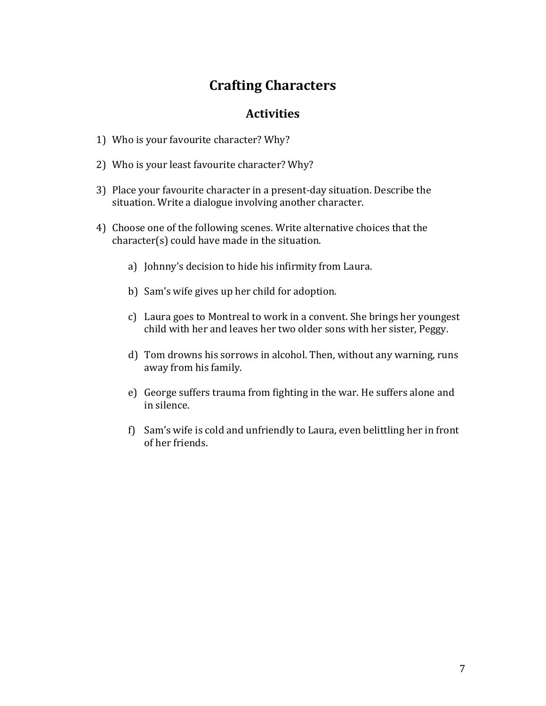## **Crafting Characters**

#### **Activities**

- 1) Who is your favourite character? Why?
- 2) Who is your least favourite character? Why?
- 3) Place your favourite character in a present-day situation. Describe the situation. Write a dialogue involving another character.
- 4) Choose one of the following scenes. Write alternative choices that the character(s) could have made in the situation.
	- a) Johnny's decision to hide his infirmity from Laura.
	- b) Sam's wife gives up her child for adoption.
	- c) Laura goes to Montreal to work in a convent. She brings her youngest child with her and leaves her two older sons with her sister, Peggy.
	- d) Tom drowns his sorrows in alcohol. Then, without any warning, runs away from his family.
	- e) George suffers trauma from fighting in the war. He suffers alone and in silence.
	- f) Sam's wife is cold and unfriendly to Laura, even belittling her in front of her friends.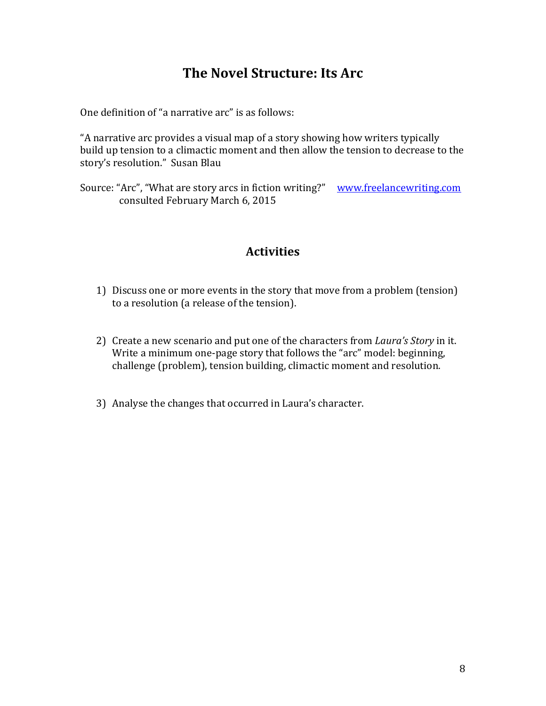### **The Novel Structure: Its Arc**

One definition of "a narrative arc" is as follows:

"A narrative arc provides a visual map of a story showing how writers typically build up tension to a climactic moment and then allow the tension to decrease to the story's resolution." Susan Blau

Source: "Arc", "What are story arcs in fiction writing?" [www.freelancewriting.com](http://www.freelancewriting.com/) consulted February March 6, 2015

#### **Activities**

- 1) Discuss one or more events in the story that move from a problem (tension) to a resolution (a release of the tension).
- 2) Create a new scenario and put one of the characters from *Laura's Story* in it. Write a minimum one-page story that follows the "arc" model: beginning, challenge (problem), tension building, climactic moment and resolution.
- 3) Analyse the changes that occurred in Laura's character.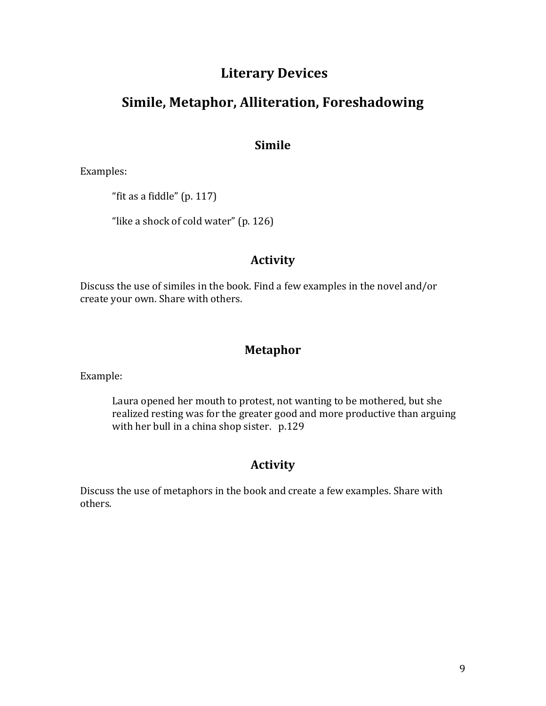### **Literary Devices**

### **Simile, Metaphor, Alliteration, Foreshadowing**

#### **Simile**

Examples:

"fit as a fiddle" (p. 117)

"like a shock of cold water" (p. 126)

#### **Activity**

Discuss the use of similes in the book. Find a few examples in the novel and/or create your own. Share with others.

#### **Metaphor**

Example:

Laura opened her mouth to protest, not wanting to be mothered, but she realized resting was for the greater good and more productive than arguing with her bull in a china shop sister. p.129

### **Activity**

Discuss the use of metaphors in the book and create a few examples. Share with others.